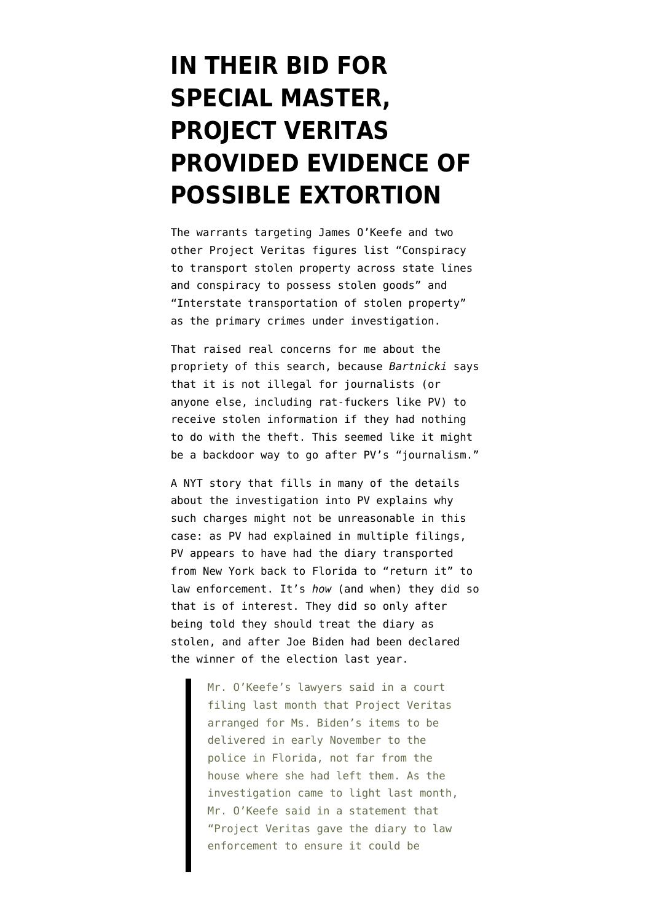## **[IN THEIR BID FOR](https://www.emptywheel.net/2021/12/17/in-their-bid-for-special-master-project-veritas-provided-evidence-of-extortion/) [SPECIAL MASTER,](https://www.emptywheel.net/2021/12/17/in-their-bid-for-special-master-project-veritas-provided-evidence-of-extortion/) [PROJECT VERITAS](https://www.emptywheel.net/2021/12/17/in-their-bid-for-special-master-project-veritas-provided-evidence-of-extortion/) [PROVIDED EVIDENCE OF](https://www.emptywheel.net/2021/12/17/in-their-bid-for-special-master-project-veritas-provided-evidence-of-extortion/) [POSSIBLE EXTORTION](https://www.emptywheel.net/2021/12/17/in-their-bid-for-special-master-project-veritas-provided-evidence-of-extortion/)**

The [warrants](https://storage.courtlistener.com/recap/gov.uscourts.nysd.569823/gov.uscourts.nysd.569823.10.6.pdf) targeting James O'Keefe and two other Project Veritas figures list "Conspiracy to transport stolen property across state lines and conspiracy to possess stolen goods" and "Interstate transportation of stolen property" as the primary crimes under investigation.

That raised real concerns for me about the propriety of this search, because *Bartnicki* says that it is not illegal for journalists (or anyone else, including rat-fuckers like PV) to receive stolen information if they had nothing to do with the theft. This seemed like it might be a backdoor way to go after PV's "journalism."

A [NYT story](https://www.nytimes.com/2021/12/16/us/politics/ashley-biden-project-veritas-diary.html?smid=tw-share) that fills in many of the details about the investigation into PV explains why such charges might not be unreasonable in this case: as PV had explained in multiple filings, PV appears to have had the diary transported from New York back to Florida to "return it" to law enforcement. It's *how* (and when) they did so that is of interest. They did so only after being told they should treat the diary as stolen, and after Joe Biden had been declared the winner of the election last year.

> Mr. O'Keefe's lawyers said in a court filing last month that Project Veritas arranged for Ms. Biden's items to be delivered in early November to the police in Florida, not far from the house where she had left them. As the investigation came to light last month, Mr. O'Keefe said in a statement that "Project Veritas gave the diary to law enforcement to ensure it could be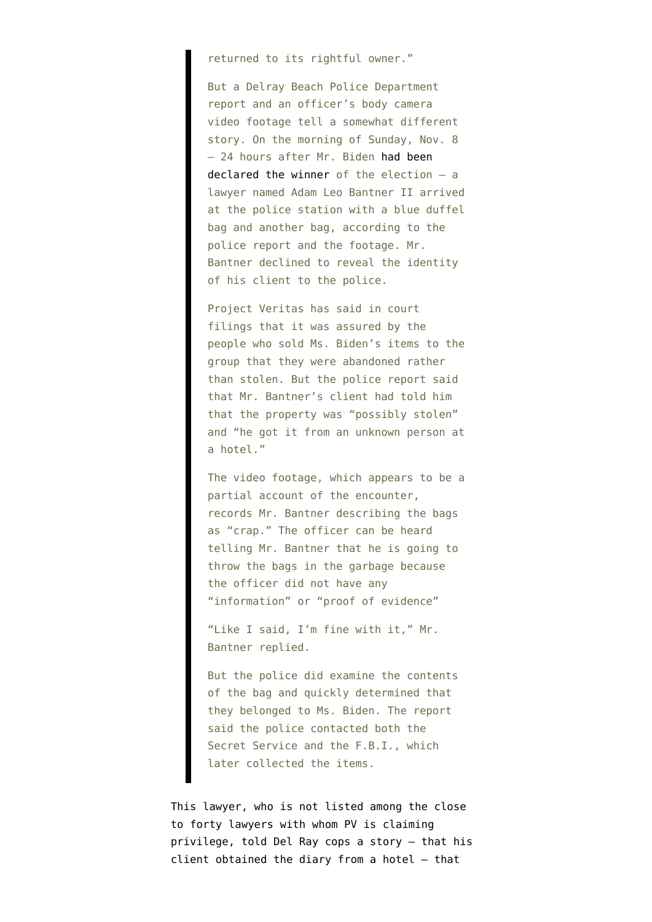returned to its rightful owner."

But a Delray Beach Police Department report and an officer's body camera video footage tell a somewhat different story. On the morning of Sunday, Nov. 8 — 24 hours after Mr. Biden [had been](https://www.nytimes.com/2020/11/07/us/politics/biden-election.html) [declared the winner](https://www.nytimes.com/2020/11/07/us/politics/biden-election.html) of the election — a lawyer named Adam Leo Bantner II arrived at the police station with a blue duffel bag and another bag, according to the police report and the footage. Mr. Bantner declined to reveal the identity of his client to the police.

Project Veritas has said in court filings that it was assured by the people who sold Ms. Biden's items to the group that they were abandoned rather than stolen. But the police report said that Mr. Bantner's client had told him that the property was "possibly stolen" and "he got it from an unknown person at a hotel."

The video footage, which appears to be a partial account of the encounter, records Mr. Bantner describing the bags as "crap." The officer can be heard telling Mr. Bantner that he is going to throw the bags in the garbage because the officer did not have any "information" or "proof of evidence"

"Like I said, I'm fine with it," Mr. Bantner replied.

But the police did examine the contents of the bag and quickly determined that they belonged to Ms. Biden. The report said the police contacted both the Secret Service and the F.B.I., which later collected the items.

This lawyer, who is not listed among the close to forty lawyers with whom [PV is claiming](https://storage.courtlistener.com/recap/gov.uscourts.nysd.569823/gov.uscourts.nysd.569823.10.0.pdf) [privilege,](https://storage.courtlistener.com/recap/gov.uscourts.nysd.569823/gov.uscourts.nysd.569823.10.0.pdf) told Del Ray cops a story — that his client obtained the diary from a hotel — that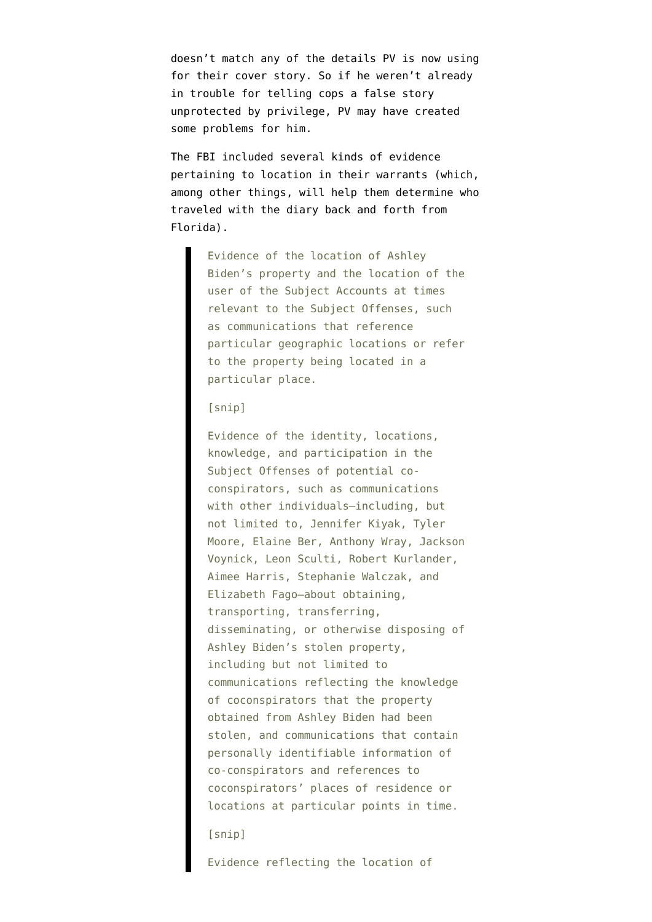doesn't match any of the details PV is now using for their cover story. So if he weren't already in trouble for telling cops a false story unprotected by privilege, PV may have created some problems for him.

The FBI included several kinds of evidence pertaining to location in their warrants (which, among other things, will help them determine who traveled with the diary back and forth from Florida).

> Evidence of the location of Ashley Biden's property and the location of the user of the Subject Accounts at times relevant to the Subject Offenses, such as communications that reference particular geographic locations or refer to the property being located in a particular place.

## [snip]

Evidence of the identity, locations, knowledge, and participation in the Subject Offenses of potential coconspirators, such as communications with other individuals—including, but not limited to, Jennifer Kiyak, Tyler Moore, Elaine Ber, Anthony Wray, Jackson Voynick, Leon Sculti, Robert Kurlander, Aimee Harris, Stephanie Walczak, and Elizabeth Fago—about obtaining, transporting, transferring, disseminating, or otherwise disposing of Ashley Biden's stolen property, including but not limited to communications reflecting the knowledge of coconspirators that the property obtained from Ashley Biden had been stolen, and communications that contain personally identifiable information of co-conspirators and references to coconspirators' places of residence or locations at particular points in time.

[snip]

Evidence reflecting the location of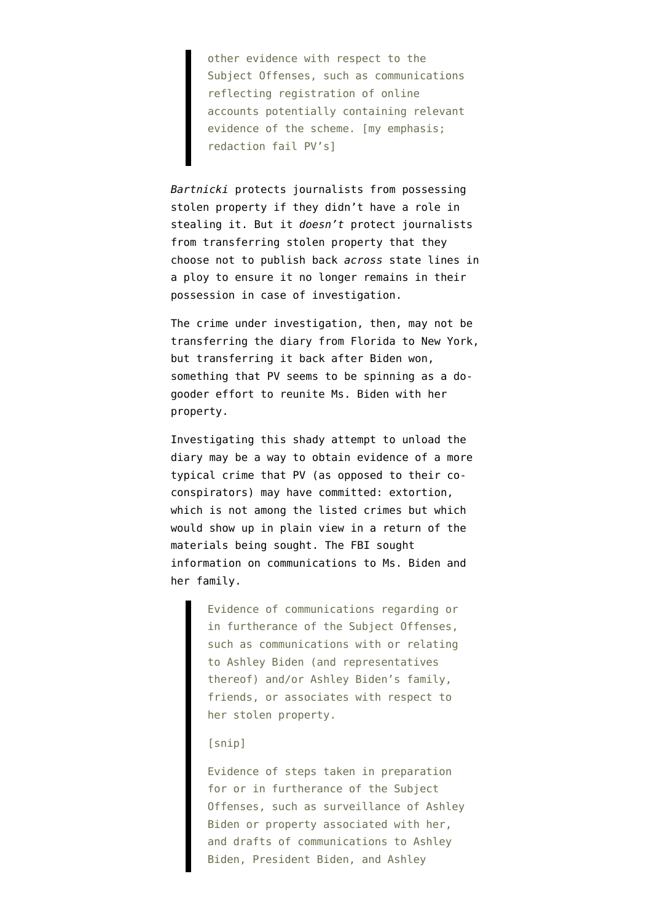other evidence with respect to the Subject Offenses, such as communications reflecting registration of online accounts potentially containing relevant evidence of the scheme. [my emphasis; redaction fail PV's]

*Bartnicki* protects journalists from possessing stolen property if they didn't have a role in stealing it. But it *doesn't* protect journalists from transferring stolen property that they choose not to publish back *across* state lines in a ploy to ensure it no longer remains in their possession in case of investigation.

The crime under investigation, then, may not be transferring the diary from Florida [to New York,](https://storage.courtlistener.com/recap/gov.uscourts.nysd.569823/gov.uscourts.nysd.569823.38.0.pdf) but transferring it back after Biden won, something that PV seems to be spinning as a dogooder effort to reunite Ms. Biden with her property.

Investigating this shady attempt to unload the diary may be a way to obtain evidence of a more typical crime that PV (as opposed to their coconspirators) may have committed: extortion, which is not among the listed crimes but which would show up in [plain view](https://www.law.cornell.edu/constitution-conan/amendment-4/plain-view-searches) in a return of the materials being sought. The FBI sought information on communications to Ms. Biden and her family.

> Evidence of communications regarding or in furtherance of the Subject Offenses, such as communications with or relating to Ashley Biden (and representatives thereof) and/or Ashley Biden's family, friends, or associates with respect to her stolen property.

## [snip]

Evidence of steps taken in preparation for or in furtherance of the Subject Offenses, such as surveillance of Ashley Biden or property associated with her, and drafts of communications to Ashley Biden, President Biden, and Ashley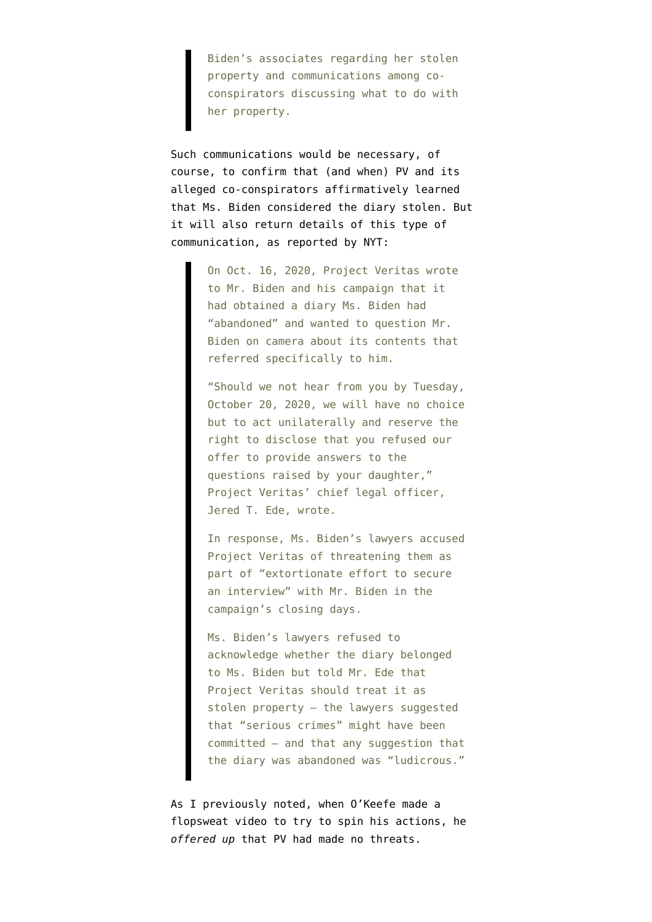Biden's associates regarding her stolen property and communications among coconspirators discussing what to do with her property.

Such communications would be necessary, of course, to confirm that (and when) PV and its alleged co-conspirators affirmatively learned that Ms. Biden considered the diary stolen. But it will also return details of this type of communication, as reported by NYT:

> On Oct. 16, 2020, Project Veritas wrote to Mr. Biden and his campaign that it had obtained a diary Ms. Biden had "abandoned" and wanted to question Mr. Biden on camera about its contents that referred specifically to him.

"Should we not hear from you by Tuesday, October 20, 2020, we will have no choice but to act unilaterally and reserve the right to disclose that you refused our offer to provide answers to the questions raised by your daughter," Project Veritas' chief legal officer, Jered T. Ede, wrote.

In response, Ms. Biden's lawyers accused Project Veritas of threatening them as part of "extortionate effort to secure an interview" with Mr. Biden in the campaign's closing days.

Ms. Biden's lawyers refused to acknowledge whether the diary belonged to Ms. Biden but told Mr. Ede that Project Veritas should treat it as stolen property — the lawyers suggested that "serious crimes" might have been committed — and that any suggestion that the diary was abandoned was "ludicrous."

As [I previously noted](https://www.emptywheel.net/2021/11/26/sting-ray-project-veritas-schrodingers-proxy/), when O'Keefe made a flopsweat video to try to spin his actions, he *offered up* that PV had made no threats.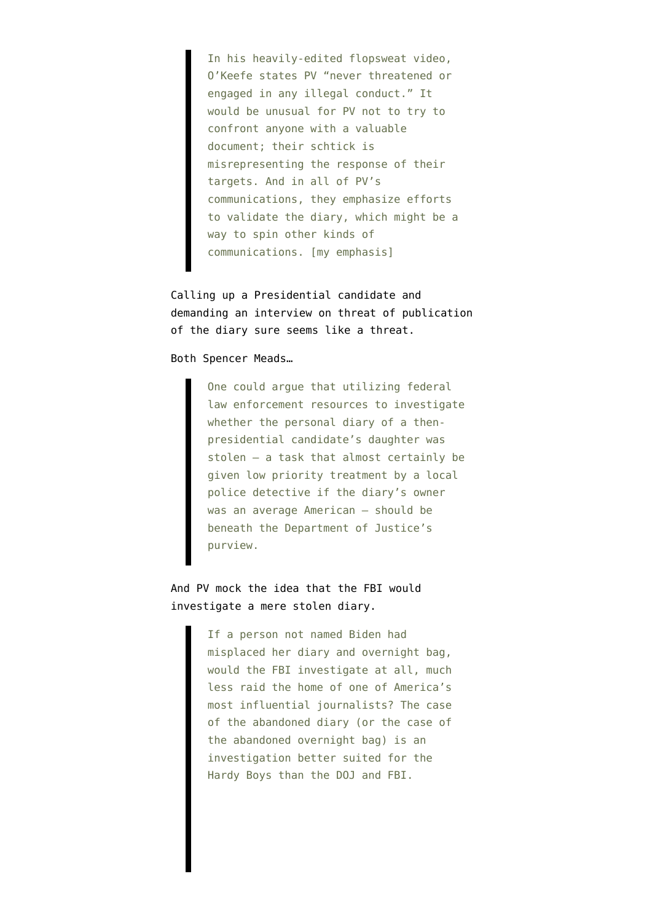In his heavily-edited flopsweat video, O'Keefe states PV "never threatened or engaged in any illegal conduct." It would be unusual for PV not to try to confront anyone with a valuable document; their schtick is misrepresenting the response of their targets. And in all of PV's communications, they emphasize efforts to validate the diary, which might be a way to spin other kinds of communications. [my emphasis]

Calling up a Presidential candidate and demanding an interview on threat of publication of the diary sure seems like a threat.

Both [Spencer Meads…](https://storage.courtlistener.com/recap/gov.uscourts.nysd.569993/gov.uscourts.nysd.569993.8.0.pdf)

One could argue that utilizing federal law enforcement resources to investigate whether the personal diary of a thenpresidential candidate's daughter was stolen – a task that almost certainly be given low priority treatment by a local police detective if the diary's owner was an average American – should be beneath the Department of Justice's purview.

And [PV mock](https://storage.courtlistener.com/recap/gov.uscourts.nysd.569823/gov.uscourts.nysd.569823.38.0.pdf) the idea that the FBI would investigate a mere stolen diary.

> If a person not named Biden had misplaced her diary and overnight bag, would the FBI investigate at all, much less raid the home of one of America's most influential journalists? The case of the abandoned diary (or the case of the abandoned overnight bag) is an investigation better suited for the Hardy Boys than the DOJ and FBI.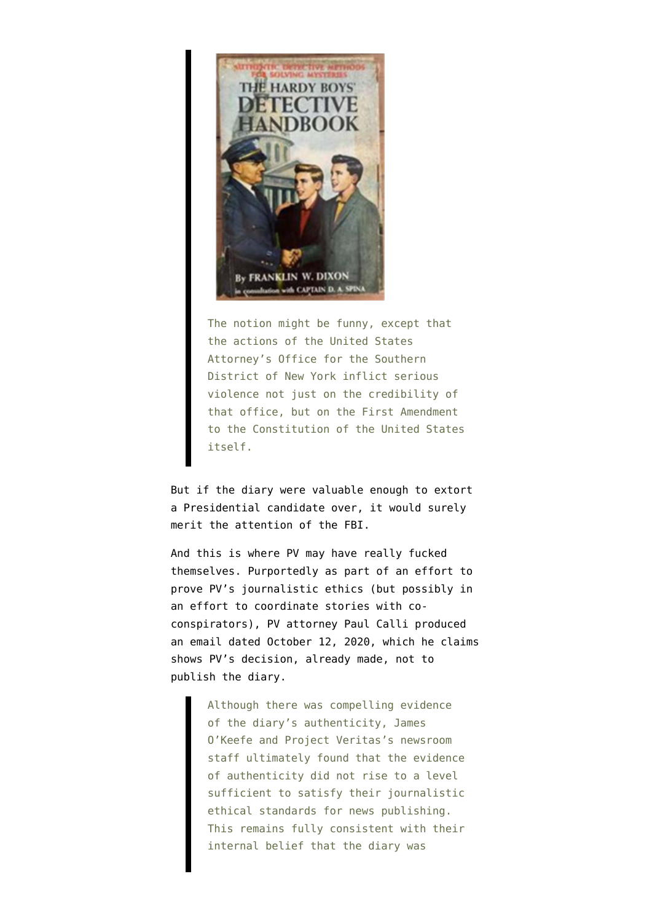

The notion might be funny, except that the actions of the United States Attorney's Office for the Southern District of New York inflict serious violence not just on the credibility of that office, but on the First Amendment to the Constitution of the United States itself.

But if the diary were valuable enough to extort a Presidential candidate over, it would surely merit the attention of the FBI.

And this is where PV may have really fucked themselves. Purportedly as part of an effort to prove PV's journalistic ethics (but possibly in an effort to coordinate stories with coconspirators), PV attorney Paul Calli [produced](https://storage.courtlistener.com/recap/gov.uscourts.nysd.569823/gov.uscourts.nysd.569823.38.2.pdf) [an email](https://storage.courtlistener.com/recap/gov.uscourts.nysd.569823/gov.uscourts.nysd.569823.38.2.pdf) dated October 12, 2020, which he [claims](https://storage.courtlistener.com/recap/gov.uscourts.nysd.569823/gov.uscourts.nysd.569823.38.0.pdf) shows PV's decision, already made, not to publish the diary.

> Although there was compelling evidence of the diary's authenticity, James O'Keefe and Project Veritas's newsroom staff ultimately found that the evidence of authenticity did not rise to a level sufficient to satisfy their journalistic ethical standards for news publishing. This remains fully consistent with their internal belief that the diary was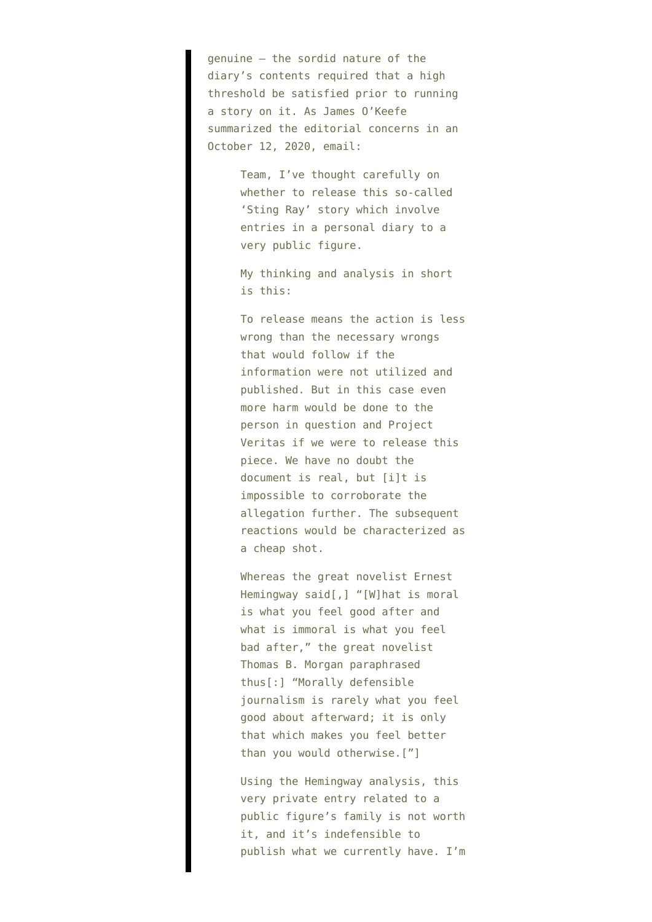genuine – the sordid nature of the diary's contents required that a high threshold be satisfied prior to running a story on it. As James O'Keefe summarized the editorial concerns in an October 12, 2020, email:

> Team, I've thought carefully on whether to release this so-called 'Sting Ray' story which involve entries in a personal diary to a very public figure.

> My thinking and analysis in short is this:

To release means the action is less wrong than the necessary wrongs that would follow if the information were not utilized and published. But in this case even more harm would be done to the person in question and Project Veritas if we were to release this piece. We have no doubt the document is real, but [i]t is impossible to corroborate the allegation further. The subsequent reactions would be characterized as a cheap shot.

Whereas the great novelist Ernest Hemingway said[,] "[W]hat is moral is what you feel good after and what is immoral is what you feel bad after," the great novelist Thomas B. Morgan paraphrased thus[:] "Morally defensible journalism is rarely what you feel good about afterward; it is only that which makes you feel better than you would otherwise.["]

Using the Hemingway analysis, this very private entry related to a public figure's family is not worth it, and it's indefensible to publish what we currently have. I'm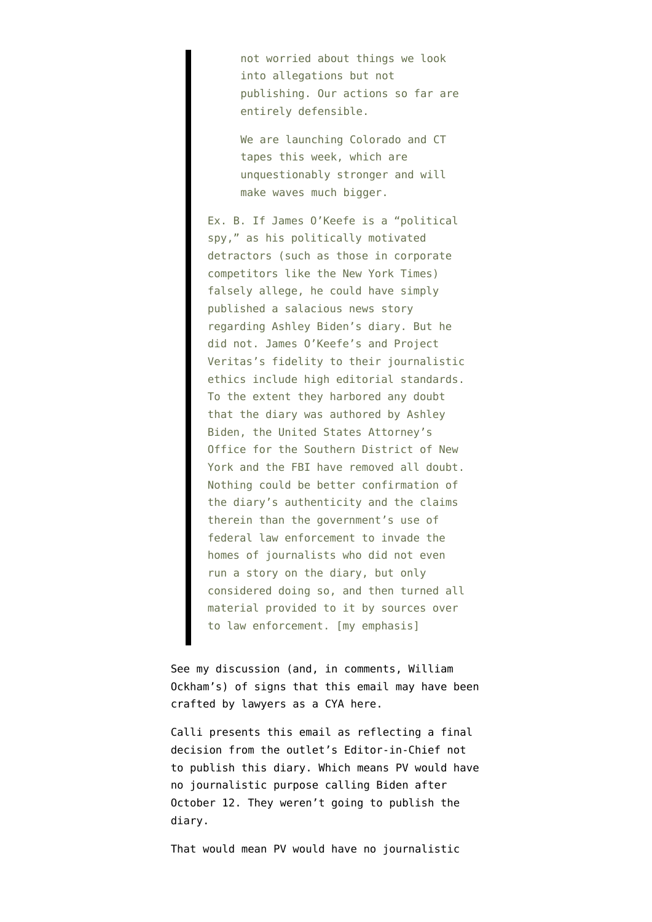not worried about things we look into allegations but not publishing. Our actions so far are entirely defensible.

We are launching Colorado and CT tapes this week, which are unquestionably stronger and will make waves much bigger.

Ex. B. If James O'Keefe is a "political spy," as his politically motivated detractors (such as those in corporate competitors like the New York Times) falsely allege, he could have simply published a salacious news story regarding Ashley Biden's diary. But he did not. James O'Keefe's and Project Veritas's fidelity to their journalistic ethics include high editorial standards. To the extent they harbored any doubt that the diary was authored by Ashley Biden, the United States Attorney's Office for the Southern District of New York and the FBI have removed all doubt. Nothing could be better confirmation of the diary's authenticity and the claims therein than the government's use of federal law enforcement to invade the homes of journalists who did not even run a story on the diary, but only considered doing so, and then turned all material provided to it by sources over to law enforcement. [my emphasis]

See my discussion (and, in comments, William Ockham's) of signs that this email may have been crafted by lawyers as a CYA [here.](https://www.emptywheel.net/2021/11/26/sting-ray-project-veritas-schrodingers-proxy/)

Calli presents this email as reflecting a final decision from the outlet's Editor-in-Chief not to publish this diary. Which means PV would have no journalistic purpose calling Biden after October 12. They weren't going to publish the diary.

That would mean PV would have no journalistic